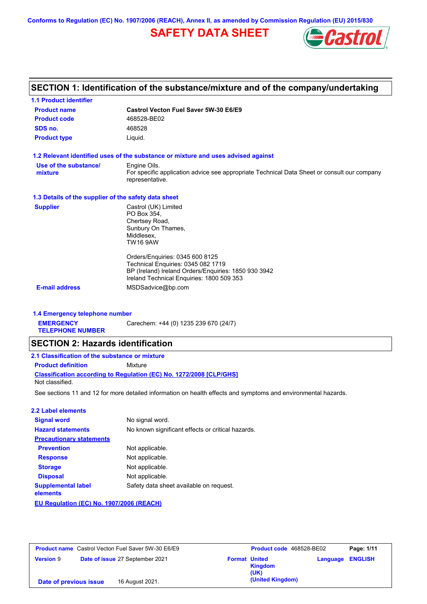**Conforms to Regulation (EC) No. 1907/2006 (REACH), Annex II, as amended by Commission Regulation (EU) 2015/830**

## **SAFETY DATA SHEET**



## **SECTION 1: Identification of the substance/mixture and of the company/undertaking**

| <b>1.1 Product identifier</b>                        |                                                                                                                                                                            |
|------------------------------------------------------|----------------------------------------------------------------------------------------------------------------------------------------------------------------------------|
| <b>Product name</b>                                  | Castrol Vecton Fuel Saver 5W-30 E6/E9                                                                                                                                      |
| <b>Product code</b>                                  | 468528-BE02                                                                                                                                                                |
| SDS no.                                              | 468528                                                                                                                                                                     |
| <b>Product type</b>                                  | Liquid.                                                                                                                                                                    |
|                                                      | 1.2 Relevant identified uses of the substance or mixture and uses advised against                                                                                          |
| Use of the substance/<br>mixture                     | Engine Oils.<br>For specific application advice see appropriate Technical Data Sheet or consult our company<br>representative.                                             |
| 1.3 Details of the supplier of the safety data sheet |                                                                                                                                                                            |
| <b>Supplier</b>                                      | Castrol (UK) Limited<br>PO Box 354,<br>Chertsey Road,<br>Sunbury On Thames,<br>Middlesex,<br><b>TW16 9AW</b>                                                               |
|                                                      | Orders/Enquiries: 0345 600 8125<br>Technical Enquiries: 0345 082 1719<br>BP (Ireland) Ireland Orders/Enquiries: 1850 930 3942<br>Ireland Technical Enguiries: 1800 509 353 |
| <b>E-mail address</b>                                | MSDSadvice@bp.com                                                                                                                                                          |
| 1.4 Emergency telephone number                       |                                                                                                                                                                            |
| <b>EMERGENCY</b>                                     | Carechem: +44 (0) 1235 239 670 (24/7)                                                                                                                                      |

**TELEPHONE NUMBER**

### **SECTION 2: Hazards identification**

| 2.1 Classification of the substance or mixture |                                                                     |  |  |  |
|------------------------------------------------|---------------------------------------------------------------------|--|--|--|
| <b>Product definition</b>                      | Mixture                                                             |  |  |  |
|                                                | Classification according to Regulation (EC) No. 1272/2008 [CLP/GHS] |  |  |  |
| Not classified.                                |                                                                     |  |  |  |

See sections 11 and 12 for more detailed information on health effects and symptoms and environmental hazards.

#### **2.2 Label elements**

| <b>Signal word</b>                       | No signal word.                                   |
|------------------------------------------|---------------------------------------------------|
| <b>Hazard statements</b>                 | No known significant effects or critical hazards. |
| <b>Precautionary statements</b>          |                                                   |
| <b>Prevention</b>                        | Not applicable.                                   |
| <b>Response</b>                          | Not applicable.                                   |
| <b>Storage</b>                           | Not applicable.                                   |
| <b>Disposal</b>                          | Not applicable.                                   |
| <b>Supplemental label</b><br>elements    | Safety data sheet available on request.           |
| EU Regulation (EC) No. 1907/2006 (REACH) |                                                   |

| <b>Product name</b> Castrol Vecton Fuel Saver 5W-30 E6/E9 |                                 |                                                | Product code 468528-BE02 | Page: 1/11     |
|-----------------------------------------------------------|---------------------------------|------------------------------------------------|--------------------------|----------------|
| <b>Version 9</b>                                          | Date of issue 27 September 2021 | <b>Format United</b><br><b>Kingdom</b><br>(UK) | Language                 | <b>ENGLISH</b> |
| Date of previous issue                                    | 16 August 2021.                 |                                                | (United Kingdom)         |                |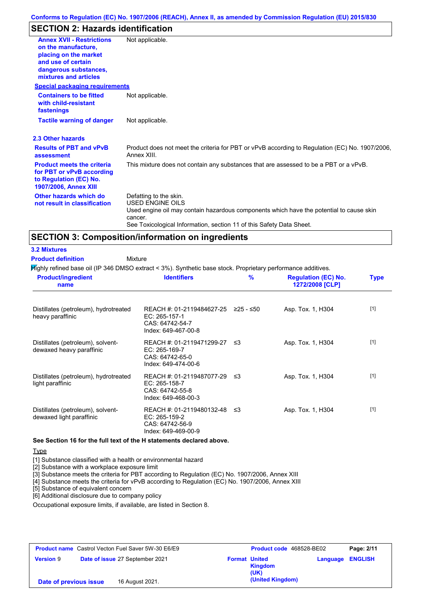### **SECTION 2: Hazards identification**

| <b>Annex XVII - Restrictions</b><br>on the manufacture,<br>placing on the market<br>and use of certain<br>dangerous substances,<br>mixtures and articles | Not applicable.                                                                                                                                                                                                                 |
|----------------------------------------------------------------------------------------------------------------------------------------------------------|---------------------------------------------------------------------------------------------------------------------------------------------------------------------------------------------------------------------------------|
| <b>Special packaging requirements</b>                                                                                                                    |                                                                                                                                                                                                                                 |
| <b>Containers to be fitted</b><br>with child-resistant<br>fastenings                                                                                     | Not applicable.                                                                                                                                                                                                                 |
| <b>Tactile warning of danger</b>                                                                                                                         | Not applicable.                                                                                                                                                                                                                 |
| 2.3 Other hazards                                                                                                                                        |                                                                                                                                                                                                                                 |
| <b>Results of PBT and vPvB</b><br>assessment                                                                                                             | Product does not meet the criteria for PBT or vPvB according to Regulation (EC) No. 1907/2006,<br>Annex XIII.                                                                                                                   |
| <b>Product meets the criteria</b><br>for PBT or vPvB according<br>to Regulation (EC) No.<br><b>1907/2006, Annex XIII</b>                                 | This mixture does not contain any substances that are assessed to be a PBT or a vPvB.                                                                                                                                           |
| Other hazards which do<br>not result in classification                                                                                                   | Defatting to the skin.<br><b>USED ENGINE OILS</b><br>Used engine oil may contain hazardous components which have the potential to cause skin<br>cancer.<br>See Toxicological Information, section 11 of this Safety Data Sheet. |

### **SECTION 3: Composition/information on ingredients**

Mixture **3.2 Mixtures Product definition**

Highly refined base oil (IP 346 DMSO extract < 3%). Synthetic base stock. Proprietary performance additives.

| <b>Product/ingredient</b><br>name                             | <b>Identifiers</b>                                                                                         | $\frac{9}{6}$ | <b>Regulation (EC) No.</b><br>1272/2008 [CLP] | <b>Type</b> |
|---------------------------------------------------------------|------------------------------------------------------------------------------------------------------------|---------------|-----------------------------------------------|-------------|
| Distillates (petroleum), hydrotreated<br>heavy paraffinic     | REACH #: 01-2119484627-25 $\geq$ 25 - $\leq$ 50<br>EC: 265-157-1<br>CAS: 64742-54-7<br>Index: 649-467-00-8 |               | Asp. Tox. 1, H304                             | $[1]$       |
| Distillates (petroleum), solvent-<br>dewaxed heavy paraffinic | REACH #: 01-2119471299-27 ≤3<br>EC: 265-169-7<br>CAS: 64742-65-0<br>Index: 649-474-00-6                    |               | Asp. Tox. 1, H304                             | $[1]$       |
| Distillates (petroleum), hydrotreated<br>light paraffinic     | REACH #: 01-2119487077-29<br>EC: 265-158-7<br>CAS: 64742-55-8<br>Index: 649-468-00-3                       | - ≤3          | Asp. Tox. 1, H304                             | $[1]$       |
| Distillates (petroleum), solvent-<br>dewaxed light paraffinic | REACH #: 01-2119480132-48 ≤3<br>EC: 265-159-2<br>CAS: 64742-56-9<br>Index: 649-469-00-9                    |               | Asp. Tox. 1, H304                             | $[1]$       |

**See Section 16 for the full text of the H statements declared above.**

**Type** 

[1] Substance classified with a health or environmental hazard

[2] Substance with a workplace exposure limit

[3] Substance meets the criteria for PBT according to Regulation (EC) No. 1907/2006, Annex XIII

[4] Substance meets the criteria for vPvB according to Regulation (EC) No. 1907/2006, Annex XIII

[5] Substance of equivalent concern

[6] Additional disclosure due to company policy

Occupational exposure limits, if available, are listed in Section 8.

| <b>Product name</b> Castrol Vecton Fuel Saver 5W-30 E6/E9 |                                 | <b>Product code</b> 468528-BE02 | Page: 2/11                              |                         |
|-----------------------------------------------------------|---------------------------------|---------------------------------|-----------------------------------------|-------------------------|
| <b>Version 9</b>                                          | Date of issue 27 September 2021 |                                 | <b>Format United</b><br>Kingdom<br>(UK) | <b>Language ENGLISH</b> |
| Date of previous issue                                    | 16 August 2021.                 |                                 | (United Kingdom)                        |                         |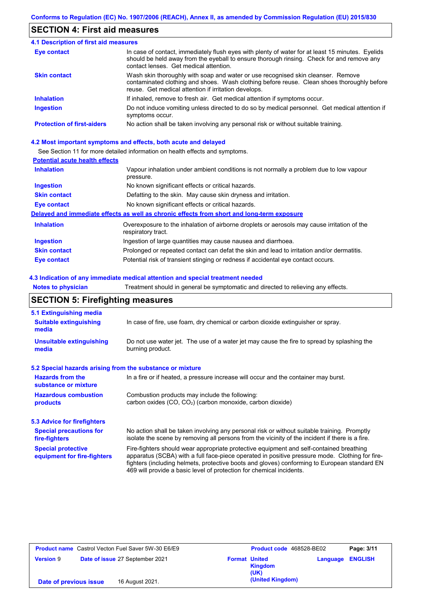### **SECTION 4: First aid measures**

| <b>4.1 Description of first aid measures</b> |                                                                                                                                                                                                                                         |
|----------------------------------------------|-----------------------------------------------------------------------------------------------------------------------------------------------------------------------------------------------------------------------------------------|
| <b>Eye contact</b>                           | In case of contact, immediately flush eyes with plenty of water for at least 15 minutes. Eyelids<br>should be held away from the eyeball to ensure thorough rinsing. Check for and remove any<br>contact lenses. Get medical attention. |
| <b>Skin contact</b>                          | Wash skin thoroughly with soap and water or use recognised skin cleanser. Remove<br>contaminated clothing and shoes. Wash clothing before reuse. Clean shoes thoroughly before<br>reuse. Get medical attention if irritation develops.  |
| <b>Inhalation</b>                            | If inhaled, remove to fresh air. Get medical attention if symptoms occur.                                                                                                                                                               |
| <b>Ingestion</b>                             | Do not induce vomiting unless directed to do so by medical personnel. Get medical attention if<br>symptoms occur.                                                                                                                       |
| <b>Protection of first-aiders</b>            | No action shall be taken involving any personal risk or without suitable training.                                                                                                                                                      |

### **4.2 Most important symptoms and effects, both acute and delayed**

See Section 11 for more detailed information on health effects and symptoms.

### **Potential acute health effects**

| <b>Inhalation</b>   | Vapour inhalation under ambient conditions is not normally a problem due to low vapour<br>pressure.               |
|---------------------|-------------------------------------------------------------------------------------------------------------------|
| <b>Ingestion</b>    | No known significant effects or critical hazards.                                                                 |
| <b>Skin contact</b> | Defatting to the skin. May cause skin dryness and irritation.                                                     |
| Eye contact         | No known significant effects or critical hazards.                                                                 |
|                     | Delayed and immediate effects as well as chronic effects from short and long-term exposure                        |
| <b>Inhalation</b>   | Overexposure to the inhalation of airborne droplets or aerosols may cause irritation of the<br>respiratory tract. |
| <b>Ingestion</b>    | Ingestion of large quantities may cause nausea and diarrhoea.                                                     |
| <b>Skin contact</b> | Prolonged or repeated contact can defat the skin and lead to irritation and/or dermatitis.                        |
| Eye contact         | Potential risk of transient stinging or redness if accidental eye contact occurs.                                 |

### **4.3 Indication of any immediate medical attention and special treatment needed**

**Notes to physician** Treatment should in general be symptomatic and directed to relieving any effects.

## **SECTION 5: Firefighting measures**

| 5.1 Extinguishing media                                                                                                                                                                                                                                                                                                                                                                                                       |                                                                                                                                                                                                |  |  |
|-------------------------------------------------------------------------------------------------------------------------------------------------------------------------------------------------------------------------------------------------------------------------------------------------------------------------------------------------------------------------------------------------------------------------------|------------------------------------------------------------------------------------------------------------------------------------------------------------------------------------------------|--|--|
| <b>Suitable extinguishing</b><br>media                                                                                                                                                                                                                                                                                                                                                                                        | In case of fire, use foam, dry chemical or carbon dioxide extinguisher or spray.                                                                                                               |  |  |
| <b>Unsuitable extinguishing</b><br>media                                                                                                                                                                                                                                                                                                                                                                                      | Do not use water jet. The use of a water jet may cause the fire to spread by splashing the<br>burning product.                                                                                 |  |  |
| 5.2 Special hazards arising from the substance or mixture                                                                                                                                                                                                                                                                                                                                                                     |                                                                                                                                                                                                |  |  |
| <b>Hazards from the</b><br>In a fire or if heated, a pressure increase will occur and the container may burst.<br>substance or mixture                                                                                                                                                                                                                                                                                        |                                                                                                                                                                                                |  |  |
| <b>Hazardous combustion</b><br>Combustion products may include the following:<br>carbon oxides (CO, CO <sub>2</sub> ) (carbon monoxide, carbon dioxide)<br>products                                                                                                                                                                                                                                                           |                                                                                                                                                                                                |  |  |
| 5.3 Advice for firefighters                                                                                                                                                                                                                                                                                                                                                                                                   |                                                                                                                                                                                                |  |  |
| <b>Special precautions for</b><br>fire-fighters                                                                                                                                                                                                                                                                                                                                                                               | No action shall be taken involving any personal risk or without suitable training. Promptly<br>isolate the scene by removing all persons from the vicinity of the incident if there is a fire. |  |  |
| <b>Special protective</b><br>Fire-fighters should wear appropriate protective equipment and self-contained breathing<br>apparatus (SCBA) with a full face-piece operated in positive pressure mode. Clothing for fire-<br>equipment for fire-fighters<br>fighters (including helmets, protective boots and gloves) conforming to European standard EN<br>469 will provide a basic level of protection for chemical incidents. |                                                                                                                                                                                                |  |  |

| <b>Product name</b> Castrol Vecton Fuel Saver 5W-30 E6/E9 |                                 | Product code 468528-BE02 |                        | Page: 3/11 |                |
|-----------------------------------------------------------|---------------------------------|--------------------------|------------------------|------------|----------------|
| <b>Version 9</b>                                          | Date of issue 27 September 2021 | <b>Format United</b>     | <b>Kingdom</b><br>(UK) | Language   | <b>ENGLISH</b> |
| Date of previous issue                                    | 16 August 2021.                 |                          | (United Kingdom)       |            |                |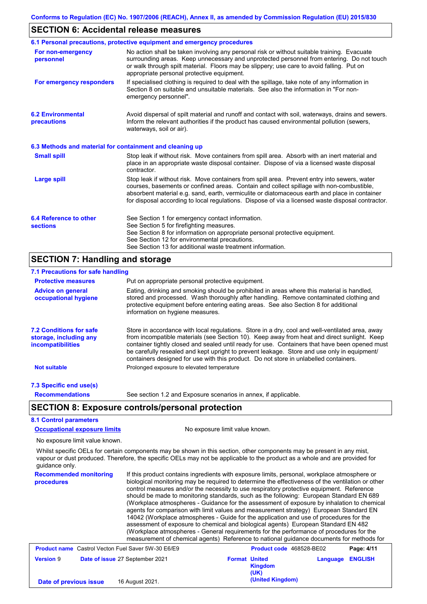# **SECTION 6: Accidental release measures**

|                                                          | 6.1 Personal precautions, protective equipment and emergency procedures                                                                                                                                                                                                                                                                                                                        |
|----------------------------------------------------------|------------------------------------------------------------------------------------------------------------------------------------------------------------------------------------------------------------------------------------------------------------------------------------------------------------------------------------------------------------------------------------------------|
| For non-emergency<br>personnel                           | No action shall be taken involving any personal risk or without suitable training. Evacuate<br>surrounding areas. Keep unnecessary and unprotected personnel from entering. Do not touch<br>or walk through spilt material. Floors may be slippery; use care to avoid falling. Put on<br>appropriate personal protective equipment.                                                            |
| For emergency responders                                 | If specialised clothing is required to deal with the spillage, take note of any information in<br>Section 8 on suitable and unsuitable materials. See also the information in "For non-<br>emergency personnel".                                                                                                                                                                               |
| <b>6.2 Environmental</b><br>precautions                  | Avoid dispersal of spilt material and runoff and contact with soil, waterways, drains and sewers.<br>Inform the relevant authorities if the product has caused environmental pollution (sewers,<br>waterways, soil or air).                                                                                                                                                                    |
| 6.3 Methods and material for containment and cleaning up |                                                                                                                                                                                                                                                                                                                                                                                                |
| <b>Small spill</b>                                       | Stop leak if without risk. Move containers from spill area. Absorb with an inert material and<br>place in an appropriate waste disposal container. Dispose of via a licensed waste disposal<br>contractor.                                                                                                                                                                                     |
| <b>Large spill</b>                                       | Stop leak if without risk. Move containers from spill area. Prevent entry into sewers, water<br>courses, basements or confined areas. Contain and collect spillage with non-combustible,<br>absorbent material e.g. sand, earth, vermiculite or diatomaceous earth and place in container<br>for disposal according to local regulations. Dispose of via a licensed waste disposal contractor. |
| 6.4 Reference to other                                   | See Section 1 for emergency contact information.                                                                                                                                                                                                                                                                                                                                               |
| <b>sections</b>                                          | See Section 5 for firefighting measures.                                                                                                                                                                                                                                                                                                                                                       |
|                                                          | See Section 8 for information on appropriate personal protective equipment.<br>See Section 12 for environmental precautions.                                                                                                                                                                                                                                                                   |
|                                                          | See Section 13 for additional waste treatment information.                                                                                                                                                                                                                                                                                                                                     |
| <b>SECTION 7: Handling and storage</b>                   |                                                                                                                                                                                                                                                                                                                                                                                                |
| 7.1 Precautions for safe handling                        |                                                                                                                                                                                                                                                                                                                                                                                                |

| <b>Protective measures</b>                                                           | Put on appropriate personal protective equipment.                                                                                                                                                                                                                                                                                                                                                                                                                                        |
|--------------------------------------------------------------------------------------|------------------------------------------------------------------------------------------------------------------------------------------------------------------------------------------------------------------------------------------------------------------------------------------------------------------------------------------------------------------------------------------------------------------------------------------------------------------------------------------|
| <b>Advice on general</b><br>occupational hygiene                                     | Eating, drinking and smoking should be prohibited in areas where this material is handled,<br>stored and processed. Wash thoroughly after handling. Remove contaminated clothing and<br>protective equipment before entering eating areas. See also Section 8 for additional<br>information on hygiene measures.                                                                                                                                                                         |
| <b>7.2 Conditions for safe</b><br>storage, including any<br><i>incompatibilities</i> | Store in accordance with local regulations. Store in a dry, cool and well-ventilated area, away<br>from incompatible materials (see Section 10). Keep away from heat and direct sunlight. Keep<br>container tightly closed and sealed until ready for use. Containers that have been opened must<br>be carefully resealed and kept upright to prevent leakage. Store and use only in equipment/<br>containers designed for use with this product. Do not store in unlabelled containers. |
| <b>Not suitable</b>                                                                  | Prolonged exposure to elevated temperature                                                                                                                                                                                                                                                                                                                                                                                                                                               |
| 7.3 Specific end use(s)                                                              |                                                                                                                                                                                                                                                                                                                                                                                                                                                                                          |
| <b>Recommendations</b>                                                               | See section 1.2 and Exposure scenarios in annex, if applicable.                                                                                                                                                                                                                                                                                                                                                                                                                          |
|                                                                                      | <b>SECTION 8: Exposure controls/personal protection</b>                                                                                                                                                                                                                                                                                                                                                                                                                                  |
| <b>8.1 Control parameters</b>                                                        |                                                                                                                                                                                                                                                                                                                                                                                                                                                                                          |
| <b>Occupational exposure limits</b>                                                  | No exposure limit value known.                                                                                                                                                                                                                                                                                                                                                                                                                                                           |
| No exposure limit value known.                                                       |                                                                                                                                                                                                                                                                                                                                                                                                                                                                                          |
| guidance only.                                                                       | Whilst specific OELs for certain components may be shown in this section, other components may be present in any mist,<br>vapour or dust produced. Therefore, the specific OELs may not be applicable to the product as a whole and are provided for                                                                                                                                                                                                                                     |
| <b>Recommended monitoring</b>                                                        | If this product contains ingredients with exposure limits, personal, workplace atmosphere or                                                                                                                                                                                                                                                                                                                                                                                             |

| Recommended monitoring<br>procedures | if this product contains ingredients with exposure limits, personal, workplace atmosphere or<br>biological monitoring may be required to determine the effectiveness of the ventilation or other<br>control measures and/or the necessity to use respiratory protective equipment. Reference<br>should be made to monitoring standards, such as the following: European Standard EN 689<br>(Workplace atmospheres - Guidance for the assessment of exposure by inhalation to chemical<br>agents for comparison with limit values and measurement strategy) European Standard EN<br>14042 (Workplace atmospheres - Guide for the application and use of procedures for the<br>assessment of exposure to chemical and biological agents) European Standard EN 482<br>(Workplace atmospheres - General requirements for the performance of procedures for the<br>measurement of chemical agents) Reference to national guidance documents for methods for |                      |                          |          |                |
|--------------------------------------|--------------------------------------------------------------------------------------------------------------------------------------------------------------------------------------------------------------------------------------------------------------------------------------------------------------------------------------------------------------------------------------------------------------------------------------------------------------------------------------------------------------------------------------------------------------------------------------------------------------------------------------------------------------------------------------------------------------------------------------------------------------------------------------------------------------------------------------------------------------------------------------------------------------------------------------------------------|----------------------|--------------------------|----------|----------------|
|                                      | <b>Product name</b> Castrol Vecton Fuel Saver 5W-30 E6/E9                                                                                                                                                                                                                                                                                                                                                                                                                                                                                                                                                                                                                                                                                                                                                                                                                                                                                              |                      | Product code 468528-BE02 |          | Page: 4/11     |
| <b>Version 9</b>                     | Date of issue 27 September 2021                                                                                                                                                                                                                                                                                                                                                                                                                                                                                                                                                                                                                                                                                                                                                                                                                                                                                                                        | <b>Format United</b> | <b>Kingdom</b><br>(UK)   | Language | <b>ENGLISH</b> |
| Date of previous issue               | 16 August 2021.                                                                                                                                                                                                                                                                                                                                                                                                                                                                                                                                                                                                                                                                                                                                                                                                                                                                                                                                        |                      | (United Kingdom)         |          |                |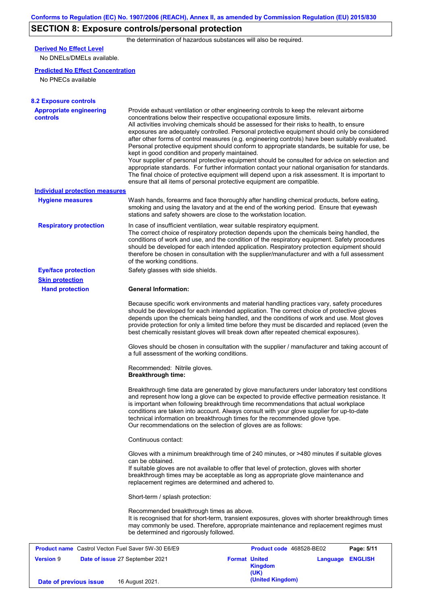## **SECTION 8: Exposure controls/personal protection**

the determination of hazardous substances will also be required.

## **Derived No Effect Level**

No DNELs/DMELs available.

### **Predicted No Effect Concentration**

No PNECs available

| <b>8.2 Exposure controls</b><br><b>Appropriate engineering</b> | Provide exhaust ventilation or other engineering controls to keep the relevant airborne                                                                                                                                                                                                                                                                                                                                                                                                                                                                                                                                                                                                                                                                                                                                                                                                                      |                          |                         |  |  |  |
|----------------------------------------------------------------|--------------------------------------------------------------------------------------------------------------------------------------------------------------------------------------------------------------------------------------------------------------------------------------------------------------------------------------------------------------------------------------------------------------------------------------------------------------------------------------------------------------------------------------------------------------------------------------------------------------------------------------------------------------------------------------------------------------------------------------------------------------------------------------------------------------------------------------------------------------------------------------------------------------|--------------------------|-------------------------|--|--|--|
| controls                                                       | concentrations below their respective occupational exposure limits.<br>All activities involving chemicals should be assessed for their risks to health, to ensure<br>exposures are adequately controlled. Personal protective equipment should only be considered<br>after other forms of control measures (e.g. engineering controls) have been suitably evaluated.<br>Personal protective equipment should conform to appropriate standards, be suitable for use, be<br>kept in good condition and properly maintained.<br>Your supplier of personal protective equipment should be consulted for advice on selection and<br>appropriate standards. For further information contact your national organisation for standards.<br>The final choice of protective equipment will depend upon a risk assessment. It is important to<br>ensure that all items of personal protective equipment are compatible. |                          |                         |  |  |  |
| <b>Individual protection measures</b>                          |                                                                                                                                                                                                                                                                                                                                                                                                                                                                                                                                                                                                                                                                                                                                                                                                                                                                                                              |                          |                         |  |  |  |
| <b>Hygiene measures</b>                                        | Wash hands, forearms and face thoroughly after handling chemical products, before eating,<br>smoking and using the lavatory and at the end of the working period. Ensure that eyewash<br>stations and safety showers are close to the workstation location.                                                                                                                                                                                                                                                                                                                                                                                                                                                                                                                                                                                                                                                  |                          |                         |  |  |  |
| <b>Respiratory protection</b>                                  | In case of insufficient ventilation, wear suitable respiratory equipment.<br>The correct choice of respiratory protection depends upon the chemicals being handled, the<br>conditions of work and use, and the condition of the respiratory equipment. Safety procedures<br>should be developed for each intended application. Respiratory protection equipment should<br>therefore be chosen in consultation with the supplier/manufacturer and with a full assessment<br>of the working conditions.                                                                                                                                                                                                                                                                                                                                                                                                        |                          |                         |  |  |  |
| <b>Eye/face protection</b>                                     | Safety glasses with side shields.                                                                                                                                                                                                                                                                                                                                                                                                                                                                                                                                                                                                                                                                                                                                                                                                                                                                            |                          |                         |  |  |  |
| <b>Skin protection</b>                                         |                                                                                                                                                                                                                                                                                                                                                                                                                                                                                                                                                                                                                                                                                                                                                                                                                                                                                                              |                          |                         |  |  |  |
| <b>Hand protection</b>                                         | <b>General Information:</b>                                                                                                                                                                                                                                                                                                                                                                                                                                                                                                                                                                                                                                                                                                                                                                                                                                                                                  |                          |                         |  |  |  |
|                                                                | Because specific work environments and material handling practices vary, safety procedures<br>should be developed for each intended application. The correct choice of protective gloves<br>depends upon the chemicals being handled, and the conditions of work and use. Most gloves<br>provide protection for only a limited time before they must be discarded and replaced (even the<br>best chemically resistant gloves will break down after repeated chemical exposures).                                                                                                                                                                                                                                                                                                                                                                                                                             |                          |                         |  |  |  |
|                                                                | Gloves should be chosen in consultation with the supplier / manufacturer and taking account of<br>a full assessment of the working conditions.                                                                                                                                                                                                                                                                                                                                                                                                                                                                                                                                                                                                                                                                                                                                                               |                          |                         |  |  |  |
|                                                                | Recommended: Nitrile gloves.<br><b>Breakthrough time:</b>                                                                                                                                                                                                                                                                                                                                                                                                                                                                                                                                                                                                                                                                                                                                                                                                                                                    |                          |                         |  |  |  |
|                                                                | Breakthrough time data are generated by glove manufacturers under laboratory test conditions<br>and represent how long a glove can be expected to provide effective permeation resistance. It<br>is important when following breakthrough time recommendations that actual workplace<br>conditions are taken into account. Always consult with your glove supplier for up-to-date<br>technical information on breakthrough times for the recommended glove type.<br>Our recommendations on the selection of gloves are as follows:                                                                                                                                                                                                                                                                                                                                                                           |                          |                         |  |  |  |
|                                                                | Continuous contact:                                                                                                                                                                                                                                                                                                                                                                                                                                                                                                                                                                                                                                                                                                                                                                                                                                                                                          |                          |                         |  |  |  |
|                                                                | Gloves with a minimum breakthrough time of 240 minutes, or >480 minutes if suitable gloves<br>can be obtained.<br>If suitable gloves are not available to offer that level of protection, gloves with shorter<br>breakthrough times may be acceptable as long as appropriate glove maintenance and<br>replacement regimes are determined and adhered to.                                                                                                                                                                                                                                                                                                                                                                                                                                                                                                                                                     |                          |                         |  |  |  |
|                                                                | Short-term / splash protection:                                                                                                                                                                                                                                                                                                                                                                                                                                                                                                                                                                                                                                                                                                                                                                                                                                                                              |                          |                         |  |  |  |
|                                                                | Recommended breakthrough times as above.<br>It is recognised that for short-term, transient exposures, gloves with shorter breakthrough times<br>may commonly be used. Therefore, appropriate maintenance and replacement regimes must<br>be determined and rigorously followed.                                                                                                                                                                                                                                                                                                                                                                                                                                                                                                                                                                                                                             |                          |                         |  |  |  |
| <b>Product name</b> Castrol Vecton Fuel Saver 5W-30 E6/E9      |                                                                                                                                                                                                                                                                                                                                                                                                                                                                                                                                                                                                                                                                                                                                                                                                                                                                                                              | Product code 468528-BE02 | Page: 5/11              |  |  |  |
| <b>Version 9</b><br>Date of issue 27 September 2021            |                                                                                                                                                                                                                                                                                                                                                                                                                                                                                                                                                                                                                                                                                                                                                                                                                                                                                                              | <b>Format United</b>     | <b>Language ENGLISH</b> |  |  |  |

**Kingdom (UK) Date of previous issue** 16 August 2021.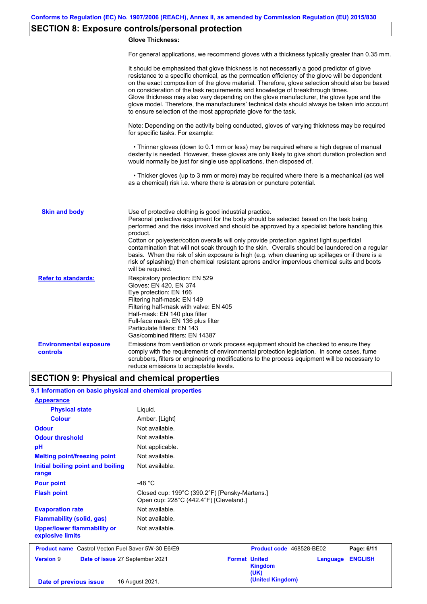## **SECTION 8: Exposure controls/personal protection**

### **Glove Thickness:**

For general applications, we recommend gloves with a thickness typically greater than 0.35 mm.

|                                           | It should be emphasised that glove thickness is not necessarily a good predictor of glove<br>resistance to a specific chemical, as the permeation efficiency of the glove will be dependent<br>on the exact composition of the glove material. Therefore, glove selection should also be based<br>on consideration of the task requirements and knowledge of breakthrough times.<br>Glove thickness may also vary depending on the glove manufacturer, the glove type and the<br>glove model. Therefore, the manufacturers' technical data should always be taken into account<br>to ensure selection of the most appropriate glove for the task.                                     |
|-------------------------------------------|---------------------------------------------------------------------------------------------------------------------------------------------------------------------------------------------------------------------------------------------------------------------------------------------------------------------------------------------------------------------------------------------------------------------------------------------------------------------------------------------------------------------------------------------------------------------------------------------------------------------------------------------------------------------------------------|
|                                           | Note: Depending on the activity being conducted, gloves of varying thickness may be required<br>for specific tasks. For example:                                                                                                                                                                                                                                                                                                                                                                                                                                                                                                                                                      |
|                                           | • Thinner gloves (down to 0.1 mm or less) may be required where a high degree of manual<br>dexterity is needed. However, these gloves are only likely to give short duration protection and<br>would normally be just for single use applications, then disposed of.                                                                                                                                                                                                                                                                                                                                                                                                                  |
|                                           | • Thicker gloves (up to 3 mm or more) may be required where there is a mechanical (as well<br>as a chemical) risk i.e. where there is abrasion or puncture potential.                                                                                                                                                                                                                                                                                                                                                                                                                                                                                                                 |
| <b>Skin and body</b>                      | Use of protective clothing is good industrial practice.<br>Personal protective equipment for the body should be selected based on the task being<br>performed and the risks involved and should be approved by a specialist before handling this<br>product.<br>Cotton or polyester/cotton overalls will only provide protection against light superficial<br>contamination that will not soak through to the skin. Overalls should be laundered on a regular<br>basis. When the risk of skin exposure is high (e.g. when cleaning up spillages or if there is a<br>risk of splashing) then chemical resistant aprons and/or impervious chemical suits and boots<br>will be required. |
| <b>Refer to standards:</b>                | Respiratory protection: EN 529<br>Gloves: EN 420, EN 374<br>Eye protection: EN 166<br>Filtering half-mask: EN 149<br>Filtering half-mask with valve: EN 405<br>Half-mask: EN 140 plus filter<br>Full-face mask: EN 136 plus filter<br>Particulate filters: EN 143<br>Gas/combined filters: EN 14387                                                                                                                                                                                                                                                                                                                                                                                   |
| <b>Environmental exposure</b><br>controls | Emissions from ventilation or work process equipment should be checked to ensure they<br>comply with the requirements of environmental protection legislation. In some cases, fume<br>scrubbers, filters or engineering modifications to the process equipment will be necessary to<br>reduce emissions to acceptable levels.                                                                                                                                                                                                                                                                                                                                                         |

### **SECTION 9: Physical and chemical properties**

### **9.1 Information on basic physical and chemical properties**

| <b>Appearance</b>                                         |                                                                                         |                                                |          |                |
|-----------------------------------------------------------|-----------------------------------------------------------------------------------------|------------------------------------------------|----------|----------------|
| <b>Physical state</b>                                     | Liquid.                                                                                 |                                                |          |                |
| <b>Colour</b>                                             | Amber. [Light]                                                                          |                                                |          |                |
| <b>Odour</b>                                              | Not available.                                                                          |                                                |          |                |
| <b>Odour threshold</b>                                    | Not available.                                                                          |                                                |          |                |
| pH                                                        | Not applicable.                                                                         |                                                |          |                |
| <b>Melting point/freezing point</b>                       | Not available.                                                                          |                                                |          |                |
| Initial boiling point and boiling<br>range                | Not available.                                                                          |                                                |          |                |
| <b>Pour point</b>                                         | -48 $^{\circ}$ C                                                                        |                                                |          |                |
| <b>Flash point</b>                                        | Closed cup: 199°C (390.2°F) [Pensky-Martens.]<br>Open cup: 228°C (442.4°F) [Cleveland.] |                                                |          |                |
| <b>Evaporation rate</b>                                   | Not available.                                                                          |                                                |          |                |
| <b>Flammability (solid, gas)</b>                          | Not available.                                                                          |                                                |          |                |
| <b>Upper/lower flammability or</b><br>explosive limits    | Not available.                                                                          |                                                |          |                |
| <b>Product name</b> Castrol Vecton Fuel Saver 5W-30 E6/E9 |                                                                                         | Product code 468528-BE02                       |          | Page: 6/11     |
| <b>Version 9</b><br>Date of issue 27 September 2021       |                                                                                         | <b>Format United</b><br><b>Kingdom</b><br>(UK) | Language | <b>ENGLISH</b> |
| Date of previous issue                                    | 16 August 2021.                                                                         | (United Kingdom)                               |          |                |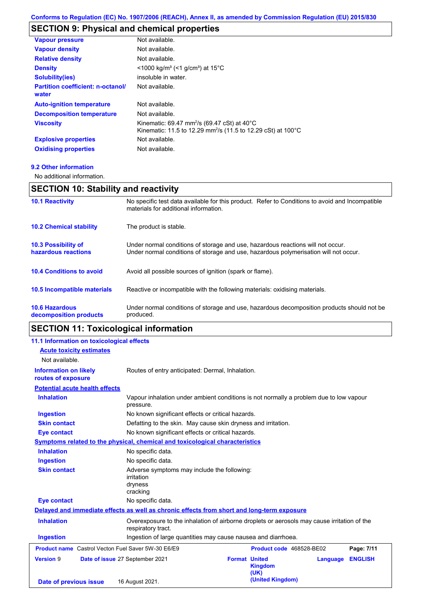## **SECTION 9: Physical and chemical properties**

| <b>Vapour pressure</b>                     | Not available.                                                                                                                                  |
|--------------------------------------------|-------------------------------------------------------------------------------------------------------------------------------------------------|
| <b>Vapour density</b>                      | Not available.                                                                                                                                  |
| <b>Relative density</b>                    | Not available.                                                                                                                                  |
| <b>Density</b>                             | $<$ 1000 kg/m <sup>3</sup> (<1 g/cm <sup>3</sup> ) at 15 <sup>°</sup> C                                                                         |
| <b>Solubility(ies)</b>                     | insoluble in water.                                                                                                                             |
| Partition coefficient: n-octanol/<br>water | Not available.                                                                                                                                  |
| <b>Auto-ignition temperature</b>           | Not available.                                                                                                                                  |
| <b>Decomposition temperature</b>           | Not available.                                                                                                                                  |
| <b>Viscosity</b>                           | Kinematic: 69.47 mm <sup>2</sup> /s (69.47 cSt) at 40 $^{\circ}$ C<br>Kinematic: 11.5 to 12.29 mm <sup>2</sup> /s (11.5 to 12.29 cSt) at 100 °C |
| <b>Explosive properties</b>                | Not available.                                                                                                                                  |
| <b>Oxidising properties</b>                | Not available.                                                                                                                                  |
|                                            |                                                                                                                                                 |

```
9.2 Other information
```
No additional information.

## **SECTION 10: Stability and reactivity**

| <b>10.1 Reactivity</b>                            | No specific test data available for this product. Refer to Conditions to avoid and Incompatible<br>materials for additional information.                                |  |
|---------------------------------------------------|-------------------------------------------------------------------------------------------------------------------------------------------------------------------------|--|
| <b>10.2 Chemical stability</b>                    | The product is stable.                                                                                                                                                  |  |
| <b>10.3 Possibility of</b><br>hazardous reactions | Under normal conditions of storage and use, hazardous reactions will not occur.<br>Under normal conditions of storage and use, hazardous polymerisation will not occur. |  |
| <b>10.4 Conditions to avoid</b>                   | Avoid all possible sources of ignition (spark or flame).                                                                                                                |  |
| <b>10.5 Incompatible materials</b>                | Reactive or incompatible with the following materials: oxidising materials.                                                                                             |  |
| <b>10.6 Hazardous</b><br>decomposition products   | Under normal conditions of storage and use, hazardous decomposition products should not be<br>produced.                                                                 |  |

# **SECTION 11: Toxicological information**

| 11.1 Information on toxicological effects                 |                                                                                                                   |  |                                                |          |                |
|-----------------------------------------------------------|-------------------------------------------------------------------------------------------------------------------|--|------------------------------------------------|----------|----------------|
| <b>Acute toxicity estimates</b>                           |                                                                                                                   |  |                                                |          |                |
| Not available.                                            |                                                                                                                   |  |                                                |          |                |
| <b>Information on likely</b><br>routes of exposure        | Routes of entry anticipated: Dermal, Inhalation.                                                                  |  |                                                |          |                |
| <b>Potential acute health effects</b>                     |                                                                                                                   |  |                                                |          |                |
| <b>Inhalation</b>                                         | Vapour inhalation under ambient conditions is not normally a problem due to low vapour<br>pressure.               |  |                                                |          |                |
| <b>Ingestion</b>                                          | No known significant effects or critical hazards.                                                                 |  |                                                |          |                |
| <b>Skin contact</b>                                       | Defatting to the skin. May cause skin dryness and irritation.                                                     |  |                                                |          |                |
| <b>Eye contact</b>                                        | No known significant effects or critical hazards.                                                                 |  |                                                |          |                |
|                                                           | Symptoms related to the physical, chemical and toxicological characteristics                                      |  |                                                |          |                |
| <b>Inhalation</b>                                         | No specific data.                                                                                                 |  |                                                |          |                |
| <b>Ingestion</b>                                          | No specific data.                                                                                                 |  |                                                |          |                |
| <b>Skin contact</b>                                       | Adverse symptoms may include the following:<br><i>irritation</i><br>dryness<br>cracking                           |  |                                                |          |                |
| <b>Eye contact</b>                                        | No specific data.                                                                                                 |  |                                                |          |                |
|                                                           | Delayed and immediate effects as well as chronic effects from short and long-term exposure                        |  |                                                |          |                |
| <b>Inhalation</b>                                         | Overexposure to the inhalation of airborne droplets or aerosols may cause irritation of the<br>respiratory tract. |  |                                                |          |                |
| <b>Ingestion</b>                                          | Ingestion of large quantities may cause nausea and diarrhoea.                                                     |  |                                                |          |                |
| <b>Product name</b> Castrol Vecton Fuel Saver 5W-30 E6/E9 |                                                                                                                   |  | Product code 468528-BE02                       |          | Page: 7/11     |
| <b>Version 9</b>                                          | Date of issue 27 September 2021                                                                                   |  | <b>Format United</b><br><b>Kingdom</b><br>(UK) | Language | <b>ENGLISH</b> |
| Date of previous issue                                    | 16 August 2021.                                                                                                   |  | (United Kingdom)                               |          |                |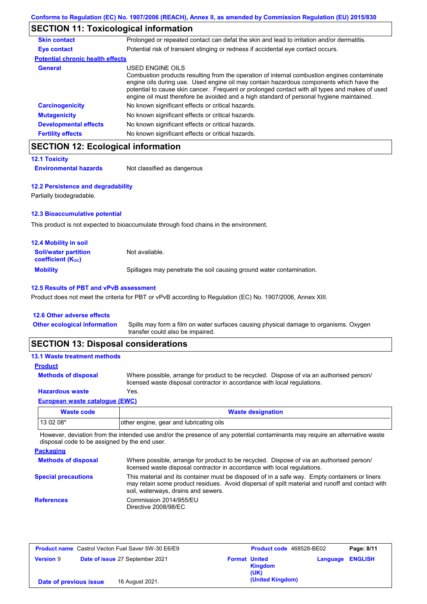### **SECTION 11: Toxicological information**

| <b>Skin contact</b>                     | Prolonged or repeated contact can defat the skin and lead to irritation and/or dermatitis.                                                                                                                                                                                                                                                                                                               |
|-----------------------------------------|----------------------------------------------------------------------------------------------------------------------------------------------------------------------------------------------------------------------------------------------------------------------------------------------------------------------------------------------------------------------------------------------------------|
| Eye contact                             | Potential risk of transient stinging or redness if accidental eye contact occurs.                                                                                                                                                                                                                                                                                                                        |
| <b>Potential chronic health effects</b> |                                                                                                                                                                                                                                                                                                                                                                                                          |
| General                                 | USED ENGINE OILS<br>Combustion products resulting from the operation of internal combustion engines contaminate<br>engine oils during use. Used engine oil may contain hazardous components which have the<br>potential to cause skin cancer. Frequent or prolonged contact with all types and makes of used<br>engine oil must therefore be avoided and a high standard of personal hygiene maintained. |
| <b>Carcinogenicity</b>                  | No known significant effects or critical hazards.                                                                                                                                                                                                                                                                                                                                                        |
| <b>Mutagenicity</b>                     | No known significant effects or critical hazards.                                                                                                                                                                                                                                                                                                                                                        |
| <b>Developmental effects</b>            | No known significant effects or critical hazards.                                                                                                                                                                                                                                                                                                                                                        |
| <b>Fertility effects</b>                | No known significant effects or critical hazards.                                                                                                                                                                                                                                                                                                                                                        |

### **SECTION 12: Ecological information**

|  | <b>12.1 Toxicity</b> |  |  |
|--|----------------------|--|--|
|--|----------------------|--|--|

#### **12.2 Persistence and degradability**

Partially biodegradable.

### **12.3 Bioaccumulative potential**

This product is not expected to bioaccumulate through food chains in the environment.

| <b>12.4 Mobility in soil</b>                                         |                                                                      |
|----------------------------------------------------------------------|----------------------------------------------------------------------|
| <b>Soil/water partition</b><br><b>coefficient</b> (K <sub>oc</sub> ) | Not available.                                                       |
| <b>Mobility</b>                                                      | Spillages may penetrate the soil causing ground water contamination. |

#### **12.5 Results of PBT and vPvB assessment**

Product does not meet the criteria for PBT or vPvB according to Regulation (EC) No. 1907/2006, Annex XIII.

#### **12.6 Other adverse effects**

Spills may form a film on water surfaces causing physical damage to organisms. Oxygen transfer could also be impaired. **Other ecological information**

### **SECTION 13: Disposal considerations**

#### **13.1 Waste treatment methods**

#### **Product**

**Methods of disposal**

Where possible, arrange for product to be recycled. Dispose of via an authorised person/ licensed waste disposal contractor in accordance with local regulations.

### **Hazardous waste** Yes.

#### **European waste catalogue (EWC)**

| Waste code | <b>Waste designation</b>                |
|------------|-----------------------------------------|
| 13 02 08*  | other engine, gear and lubricating oils |

However, deviation from the intended use and/or the presence of any potential contaminants may require an alternative waste disposal code to be assigned by the end user.

| <b>Packaging</b>           |                                                                                                                                                                                                                                         |
|----------------------------|-----------------------------------------------------------------------------------------------------------------------------------------------------------------------------------------------------------------------------------------|
| <b>Methods of disposal</b> | Where possible, arrange for product to be recycled. Dispose of via an authorised person/<br>licensed waste disposal contractor in accordance with local regulations.                                                                    |
| <b>Special precautions</b> | This material and its container must be disposed of in a safe way. Empty containers or liners<br>may retain some product residues. Avoid dispersal of spilt material and runoff and contact with<br>soil, waterways, drains and sewers. |
| <b>References</b>          | Commission 2014/955/EU<br>Directive 2008/98/EC                                                                                                                                                                                          |

| <b>Product name</b> Castrol Vecton Fuel Saver 5W-30 E6/E9 |                                 | Product code 468528-BE02 |                        | Page: 8/11 |                |
|-----------------------------------------------------------|---------------------------------|--------------------------|------------------------|------------|----------------|
| <b>Version 9</b>                                          | Date of issue 27 September 2021 | <b>Format United</b>     | <b>Kingdom</b><br>(UK) | Language   | <b>ENGLISH</b> |
| Date of previous issue                                    | 16 August 2021.                 |                          | (United Kingdom)       |            |                |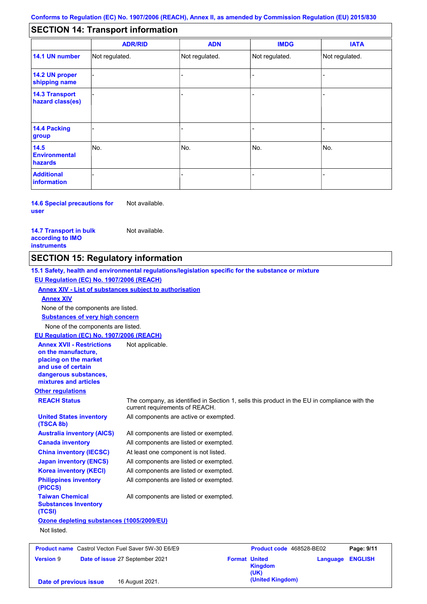#### - - - - - - - - - Not regulated. Not regulated. Not regulated. - - - **SECTION 14: Transport information ADR/RID IMDG IATA 14.1 UN number 14.2 UN proper shipping name 14.3 Transport hazard class(es) 14.4 Packing group ADN Additional information 14.5 Environmental hazards** No. 1988 | No. 1989 | No. 1989 | No. 1989 | No. 1989 | No. 1989 | No. 1989 | No. 1989 | No. 1989 | No. 1989 | Not regulated. - -<br>No. - -

**14.6 Special precautions for user** Not available.

**14.7 Transport in bulk according to IMO instruments**

Not available.

### **SECTION 15: Regulatory information**

**Other regulations REACH Status** The company, as identified in Section 1, sells this product in the EU in compliance with the current requirements of REACH. **15.1 Safety, health and environmental regulations/legislation specific for the substance or mixture EU Regulation (EC) No. 1907/2006 (REACH) Annex XIV - List of substances subject to authorisation Substances of very high concern** None of the components are listed. All components are listed or exempted. All components are listed or exempted. At least one component is not listed. All components are listed or exempted. All components are active or exempted. All components are listed or exempted. All components are listed or exempted. **United States inventory (TSCA 8b) Australia inventory (AICS) Canada inventory China inventory (IECSC) Japan inventory (ENCS) Korea inventory (KECI) Philippines inventory (PICCS) Taiwan Chemical Substances Inventory (TCSI)** All components are listed or exempted. **Ozone depleting substances (1005/2009/EU)** Not listed. None of the components are listed. **Annex XIV EU Regulation (EC) No. 1907/2006 (REACH) Annex XVII - Restrictions on the manufacture, placing on the market and use of certain dangerous substances, mixtures and articles** Not applicable. **Product name**

|                        | <b>Product name</b> Castrol Vecton Fuel Saver 5W-30 E6/E9 |                      | Product code 468528-BE02 |                         | Page: 9/11 |
|------------------------|-----------------------------------------------------------|----------------------|--------------------------|-------------------------|------------|
| <b>Version 9</b>       | Date of issue 27 September 2021                           | <b>Format United</b> | <b>Kingdom</b><br>(UK)   | <b>Language ENGLISH</b> |            |
| Date of previous issue | 16 August 2021.                                           |                      | (United Kingdom)         |                         |            |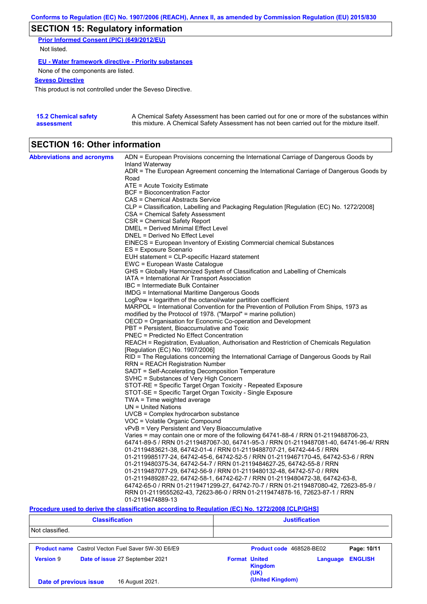### **SECTION 15: Regulatory information**

**Prior Informed Consent (PIC) (649/2012/EU)** Not listed.

**EU - Water framework directive - Priority substances**

None of the components are listed.

#### **Seveso Directive**

This product is not controlled under the Seveso Directive.

| <b>15.2 Chemical safety</b> | A Chemical Safety Assessment has been carried out for one or more of the substances within  |
|-----------------------------|---------------------------------------------------------------------------------------------|
| assessment                  | this mixture. A Chemical Safety Assessment has not been carried out for the mixture itself. |

### **SECTION 16: Other information**

| <b>Abbreviations and acronyms</b> | ADN = European Provisions concerning the International Carriage of Dangerous Goods by                                                                                         |
|-----------------------------------|-------------------------------------------------------------------------------------------------------------------------------------------------------------------------------|
|                                   | Inland Waterway                                                                                                                                                               |
|                                   | ADR = The European Agreement concerning the International Carriage of Dangerous Goods by<br>Road                                                                              |
|                                   | ATE = Acute Toxicity Estimate                                                                                                                                                 |
|                                   | <b>BCF</b> = Bioconcentration Factor                                                                                                                                          |
|                                   | CAS = Chemical Abstracts Service                                                                                                                                              |
|                                   | CLP = Classification, Labelling and Packaging Regulation [Regulation (EC) No. 1272/2008]                                                                                      |
|                                   | CSA = Chemical Safety Assessment                                                                                                                                              |
|                                   | CSR = Chemical Safety Report                                                                                                                                                  |
|                                   | DMEL = Derived Minimal Effect Level                                                                                                                                           |
|                                   | DNEL = Derived No Effect Level                                                                                                                                                |
|                                   | EINECS = European Inventory of Existing Commercial chemical Substances                                                                                                        |
|                                   | ES = Exposure Scenario                                                                                                                                                        |
|                                   | EUH statement = CLP-specific Hazard statement                                                                                                                                 |
|                                   | EWC = European Waste Catalogue                                                                                                                                                |
|                                   | GHS = Globally Harmonized System of Classification and Labelling of Chemicals                                                                                                 |
|                                   | IATA = International Air Transport Association                                                                                                                                |
|                                   | IBC = Intermediate Bulk Container                                                                                                                                             |
|                                   | <b>IMDG = International Maritime Dangerous Goods</b>                                                                                                                          |
|                                   | LogPow = logarithm of the octanol/water partition coefficient                                                                                                                 |
|                                   | MARPOL = International Convention for the Prevention of Pollution From Ships, 1973 as                                                                                         |
|                                   | modified by the Protocol of 1978. ("Marpol" = marine pollution)                                                                                                               |
|                                   | OECD = Organisation for Economic Co-operation and Development                                                                                                                 |
|                                   | PBT = Persistent, Bioaccumulative and Toxic                                                                                                                                   |
|                                   | <b>PNEC = Predicted No Effect Concentration</b>                                                                                                                               |
|                                   | REACH = Registration, Evaluation, Authorisation and Restriction of Chemicals Regulation                                                                                       |
|                                   | [Regulation (EC) No. 1907/2006]                                                                                                                                               |
|                                   | RID = The Regulations concerning the International Carriage of Dangerous Goods by Rail                                                                                        |
|                                   | RRN = REACH Registration Number                                                                                                                                               |
|                                   | SADT = Self-Accelerating Decomposition Temperature                                                                                                                            |
|                                   | SVHC = Substances of Very High Concern                                                                                                                                        |
|                                   | STOT-RE = Specific Target Organ Toxicity - Repeated Exposure                                                                                                                  |
|                                   | STOT-SE = Specific Target Organ Toxicity - Single Exposure                                                                                                                    |
|                                   | TWA = Time weighted average                                                                                                                                                   |
|                                   | $UN = United Nations$                                                                                                                                                         |
|                                   | UVCB = Complex hydrocarbon substance                                                                                                                                          |
|                                   | VOC = Volatile Organic Compound                                                                                                                                               |
|                                   | vPvB = Very Persistent and Very Bioaccumulative                                                                                                                               |
|                                   | Varies = may contain one or more of the following 64741-88-4 / RRN 01-2119488706-23,<br>64741-89-5 / RRN 01-2119487067-30, 64741-95-3 / RRN 01-2119487081-40, 64741-96-4/ RRN |
|                                   | 01-2119483621-38, 64742-01-4 / RRN 01-2119488707-21, 64742-44-5 / RRN                                                                                                         |
|                                   | 01-2119985177-24, 64742-45-6, 64742-52-5 / RRN 01-2119467170-45, 64742-53-6 / RRN                                                                                             |
|                                   | 01-2119480375-34, 64742-54-7 / RRN 01-2119484627-25, 64742-55-8 / RRN                                                                                                         |
|                                   | 01-2119487077-29, 64742-56-9 / RRN 01-2119480132-48, 64742-57-0 / RRN                                                                                                         |
|                                   | 01-2119489287-22, 64742-58-1, 64742-62-7 / RRN 01-2119480472-38, 64742-63-8,                                                                                                  |
|                                   | 64742-65-0 / RRN 01-2119471299-27, 64742-70-7 / RRN 01-2119487080-42, 72623-85-9 /                                                                                            |
|                                   | RRN 01-2119555262-43, 72623-86-0 / RRN 01-2119474878-16, 72623-87-1 / RRN                                                                                                     |
|                                   | 01-2119474889-13                                                                                                                                                              |

### **Procedure used to derive the classification according to Regulation (EC) No. 1272/2008 [CLP/GHS]**

| <b>Classification</b>                                     | <b>Justification</b>                                                         |  |  |  |
|-----------------------------------------------------------|------------------------------------------------------------------------------|--|--|--|
| Not classified.                                           |                                                                              |  |  |  |
| <b>Product name</b> Castrol Vecton Fuel Saver 5W-30 E6/E9 | Product code 468528-BE02<br>Page: 10/11                                      |  |  |  |
| <b>Version 9</b><br>Date of issue 27 September 2021       | <b>ENGLISH</b><br><b>Format United</b><br>Language<br><b>Kingdom</b><br>(UK) |  |  |  |
| 16 August 2021.<br>Date of previous issue                 | (United Kingdom)                                                             |  |  |  |